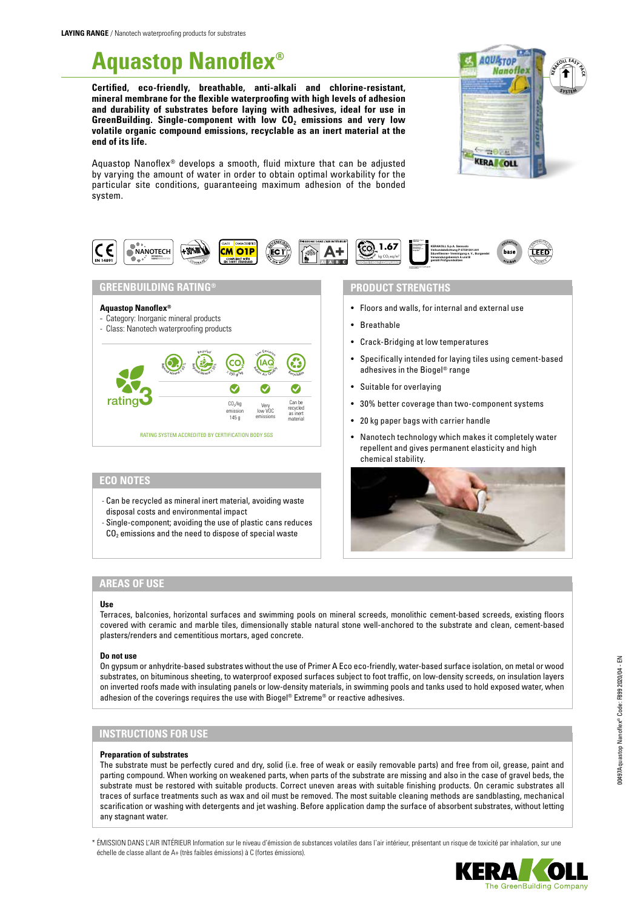# **Aquastop Nanoflex®**

**Certified, eco-friendly, breathable, anti-alkali and chlorine-resistant, mineral membrane for the flexible waterproofing with high levels of adhesion and durability of substrates before laying with adhesives, ideal for use in GreenBuilding. Single-component with low CO<sub>2</sub> emissions and very low volatile organic compound emissions, recyclable as an inert material at the end of its life.**

Aquastop Nanoflex® develops a smooth, fluid mixture that can be adjusted by varying the amount of water in order to obtain optimal workability for the particular site conditions, guaranteeing maximum adhesion of the bonded system.





## **GREENBUILDING RATING®**

#### **Aquastop Nanoflex®**

- Category: Inorganic mineral products
- Class: Nanotech waterproofing products



## **ECO NOTES**

- Can be recycled as mineral inert material, avoiding waste disposal costs and environmental impact
- Single-component; avoiding the use of plastic cans reduces CO<sub>2</sub> emissions and the need to dispose of special waste

## **PRODUCT STRENGTHS**

- Floors and walls, for internal and external use
- Breathable
- Crack-Bridging at low temperatures
- Specifically intended for laying tiles using cement-based adhesives in the Biogel® range
- Suitable for overlaying
- 30% better coverage than two-component systems
- 20 kg paper bags with carrier handle
- Nanotech technology which makes it completely water repellent and gives permanent elasticity and high chemical stability.



# **AREAS OF USE**

#### **Use**

Terraces, balconies, horizontal surfaces and swimming pools on mineral screeds, monolithic cement-based screeds, existing floors covered with ceramic and marble tiles, dimensionally stable natural stone well-anchored to the substrate and clean, cement-based plasters/renders and cementitious mortars, aged concrete.

#### **Do not use**

On gypsum or anhydrite-based substrates without the use of Primer A Eco eco-friendly, water-based surface isolation, on metal or wood substrates, on bituminous sheeting, to waterproof exposed surfaces subject to foot traffic, on low-density screeds, on insulation layers on inverted roofs made with insulating panels or low-density materials, in swimming pools and tanks used to hold exposed water, when adhesion of the coverings requires the use with Biogel® Extreme® or reactive adhesives.

## **INSTRUCTIONS FOR USE**

## **Preparation of substrates**

The substrate must be perfectly cured and dry, solid (i.e. free of weak or easily removable parts) and free from oil, grease, paint and parting compound. When working on weakened parts, when parts of the substrate are missing and also in the case of gravel beds, the substrate must be restored with suitable products. Correct uneven areas with suitable finishing products. On ceramic substrates all traces of surface treatments such as wax and oil must be removed. The most suitable cleaning methods are sandblasting, mechanical scarification or washing with detergents and jet washing. Before application damp the surface of absorbent substrates, without letting any stagnant water.

\* ÉMISSION DANS L'AIR INTÉRIEUR Information sur le niveau d'émission de substances volatiles dans l'air intérieur, présentant un risque de toxicité par inhalation, sur une échelle de classe allant de A+ (très faibles émissions) à C (fortes émissions).



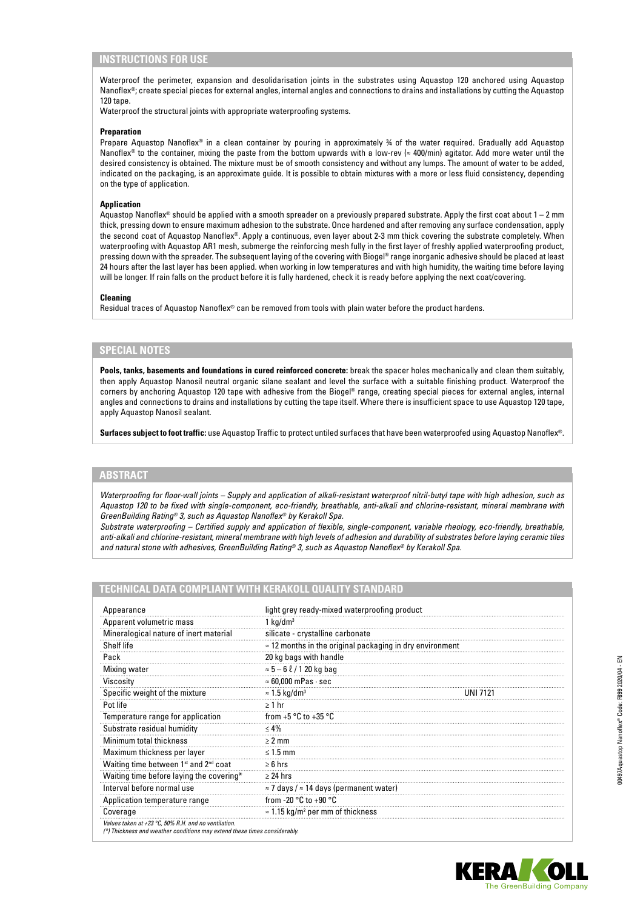## **INSTRUCTIONS FOR USE**

Waterproof the perimeter, expansion and desolidarisation joints in the substrates using Aquastop 120 anchored using Aquastop Nanoflex®; create special pieces for external angles, internal angles and connections to drains and installations by cutting the Aquastop 120 tape.

Waterproof the structural joints with appropriate waterproofing systems.

#### **Preparation**

Prepare Aquastop Nanoflex® in a clean container by pouring in approximately ¾ of the water required. Gradually add Aquastop Nanoflex® to the container, mixing the paste from the bottom upwards with a low-rev (≈ 400/min) agitator. Add more water until the desired consistency is obtained. The mixture must be of smooth consistency and without any lumps. The amount of water to be added, indicated on the packaging, is an approximate guide. It is possible to obtain mixtures with a more or less fluid consistency, depending on the type of application.

#### **Application**

Aquastop Nanoflex® should be applied with a smooth spreader on a previously prepared substrate. Apply the first coat about  $1 - 2$  mm thick, pressing down to ensure maximum adhesion to the substrate. Once hardened and after removing any surface condensation, apply the second coat of Aquastop Nanoflex®. Apply a continuous, even layer about 2-3 mm thick covering the substrate completely. When waterproofing with Aquastop AR1 mesh, submerge the reinforcing mesh fully in the first layer of freshly applied waterproofing product, pressing down with the spreader. The subsequent laying of the covering with Biogel® range inorganic adhesive should be placed at least 24 hours after the last layer has been applied. when working in low temperatures and with high humidity, the waiting time before laying will be longer. If rain falls on the product before it is fully hardened, check it is ready before applying the next coat/covering.

#### **Cleaning**

Residual traces of Aquastop Nanoflex® can be removed from tools with plain water before the product hardens.

# **SPECIAL NOTES**

**Pools, tanks, basements and foundations in cured reinforced concrete:** break the spacer holes mechanically and clean them suitably, then apply Aquastop Nanosil neutral organic silane sealant and level the surface with a suitable finishing product. Waterproof the corners by anchoring Aquastop 120 tape with adhesive from the Biogel® range, creating special pieces for external angles, internal angles and connections to drains and installations by cutting the tape itself. Where there is insufficient space to use Aquastop 120 tape, apply Aquastop Nanosil sealant.

**Surfaces subject to foot traffic:** use Aquastop Traffic to protect untiled surfaces that have been waterproofed using Aquastop Nanoflex®.

## **ABSTRACT**

*Waterproofing for floor-wall joints – Supply and application of alkali-resistant waterproof nitril-butyl tape with high adhesion, such as Aquastop 120 to be fixed with single-component, eco-friendly, breathable, anti-alkali and chlorine-resistant, mineral membrane with GreenBuilding Rating® 3, such as Aquastop Nanoflex® by Kerakoll Spa.*

*Substrate waterproofing – Certified supply and application of flexible, single-component, variable rheology, eco-friendly, breathable, anti-alkali and chlorine-resistant, mineral membrane with high levels of adhesion and durability of substrates before laying ceramic tiles and natural stone with adhesives, GreenBuilding Rating® 3, such as Aquastop Nanoflex® by Kerakoll Spa.*

| Appearance                                                                                                                        | light grey ready-mixed waterproofing product                     |          |
|-----------------------------------------------------------------------------------------------------------------------------------|------------------------------------------------------------------|----------|
| Apparent volumetric mass                                                                                                          | 1 kg/d $m3$                                                      |          |
| Mineralogical nature of inert material                                                                                            | silicate - crystalline carbonate                                 |          |
| Shelf life                                                                                                                        | $\approx$ 12 months in the original packaging in dry environment |          |
| Pack                                                                                                                              | 20 kg bags with handle                                           |          |
| Mixing water                                                                                                                      | $\approx 5 - 6$ $\ell$ / 1 20 kg bag                             |          |
| Viscosity                                                                                                                         | $\approx 60,000$ mPas $\cdot$ sec                                |          |
| Specific weight of the mixture                                                                                                    | $\approx$ 1.5 kg/dm <sup>3</sup>                                 | UNI 7121 |
| Pot life                                                                                                                          | $\geq 1$ hr                                                      |          |
| Temperature range for application                                                                                                 | from +5 $\degree$ C to +35 $\degree$ C                           |          |
| Substrate residual humidity                                                                                                       | $\leq 4\%$                                                       |          |
| Minimum total thickness                                                                                                           | $\geq$ 2 mm                                                      |          |
| Maximum thickness per layer                                                                                                       | $\leq 1.5$ mm                                                    |          |
| Waiting time between 1 <sup>st</sup> and 2 <sup>nd</sup> coat                                                                     | $\geq 6$ hrs                                                     |          |
| Waiting time before laying the covering*                                                                                          | $\geq$ 24 hrs                                                    |          |
| Interval before normal use                                                                                                        | $\approx$ 7 days / $\approx$ 14 days (permanent water)           |          |
| Application temperature range                                                                                                     | from -20 $^{\circ}$ C to +90 $^{\circ}$ C                        |          |
| Coverage                                                                                                                          | $\approx$ 1.15 kg/m <sup>2</sup> per mm of thickness             |          |
| Values taken at +23 °C, 50% R.H. and no ventilation.<br>(*) Thickness and weather conditions may extend these times considerably. |                                                                  |          |

## **TECHNICAL DATA COMPLIANT WITH KERAKOLL QUALITY STANDARD**